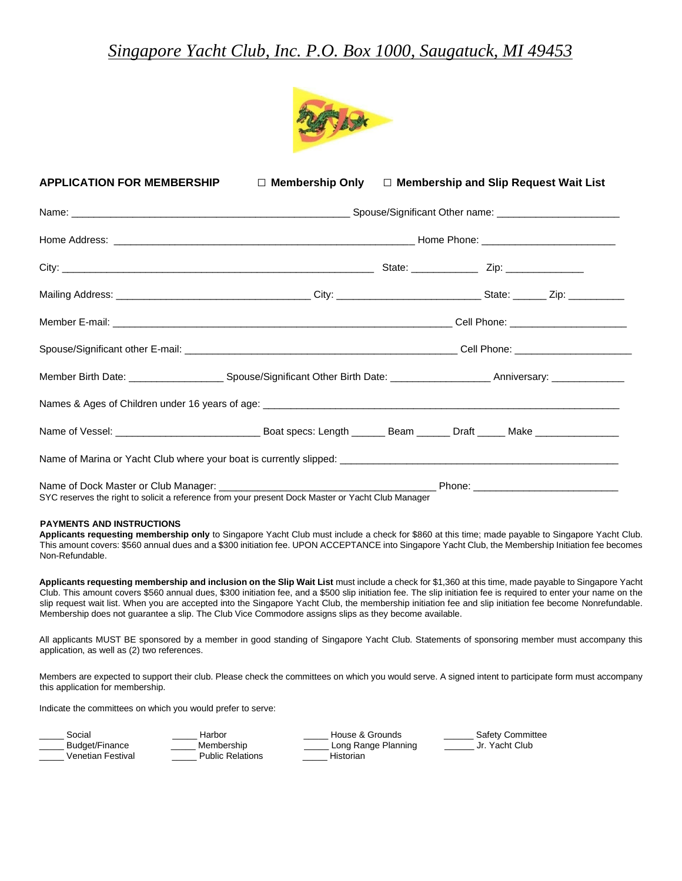## *Singapore Yacht Club, Inc. P.O. Box 1000, Saugatuck, MI 49453*



| <b>APPLICATION FOR MEMBERSHIP</b>                                                                 | $\Box$ Membership Only $\Box$ Membership and Slip Request Wait List |  |  |  |  |
|---------------------------------------------------------------------------------------------------|---------------------------------------------------------------------|--|--|--|--|
|                                                                                                   |                                                                     |  |  |  |  |
|                                                                                                   |                                                                     |  |  |  |  |
|                                                                                                   |                                                                     |  |  |  |  |
|                                                                                                   |                                                                     |  |  |  |  |
|                                                                                                   |                                                                     |  |  |  |  |
|                                                                                                   |                                                                     |  |  |  |  |
|                                                                                                   |                                                                     |  |  |  |  |
|                                                                                                   |                                                                     |  |  |  |  |
|                                                                                                   |                                                                     |  |  |  |  |
|                                                                                                   |                                                                     |  |  |  |  |
| SYC reserves the right to solicit a reference from your present Dock Master or Yacht Club Manager |                                                                     |  |  |  |  |

#### **PAYMENTS AND INSTRUCTIONS**

**Applicants requesting membership only** to Singapore Yacht Club must include a check for \$860 at this time; made payable to Singapore Yacht Club. This amount covers: \$560 annual dues and a \$300 initiation fee. UPON ACCEPTANCE into Singapore Yacht Club, the Membership Initiation fee becomes Non-Refundable.

**Applicants requesting membership and inclusion on the Slip Wait List** must include a check for \$1,360 at this time, made payable to Singapore Yacht Club. This amount covers \$560 annual dues, \$300 initiation fee, and a \$500 slip initiation fee. The slip initiation fee is required to enter your name on the slip request wait list. When you are accepted into the Singapore Yacht Club, the membership initiation fee and slip initiation fee become Nonrefundable. Membership does not guarantee a slip. The Club Vice Commodore assigns slips as they become available.

All applicants MUST BE sponsored by a member in good standing of Singapore Yacht Club. Statements of sponsoring member must accompany this application, as well as (2) two references.

Members are expected to support their club. Please check the committees on which you would serve. A signed intent to participate form must accompany this application for membership.

Indicate the committees on which you would prefer to serve:

| Social            | Harbor           | House & Grounds     | Safety Committee |
|-------------------|------------------|---------------------|------------------|
| Budget/Finance    | Membership       | Long Range Planning | Jr. Yacht Club   |
| Venetian Festival | Public Relations | Historian           |                  |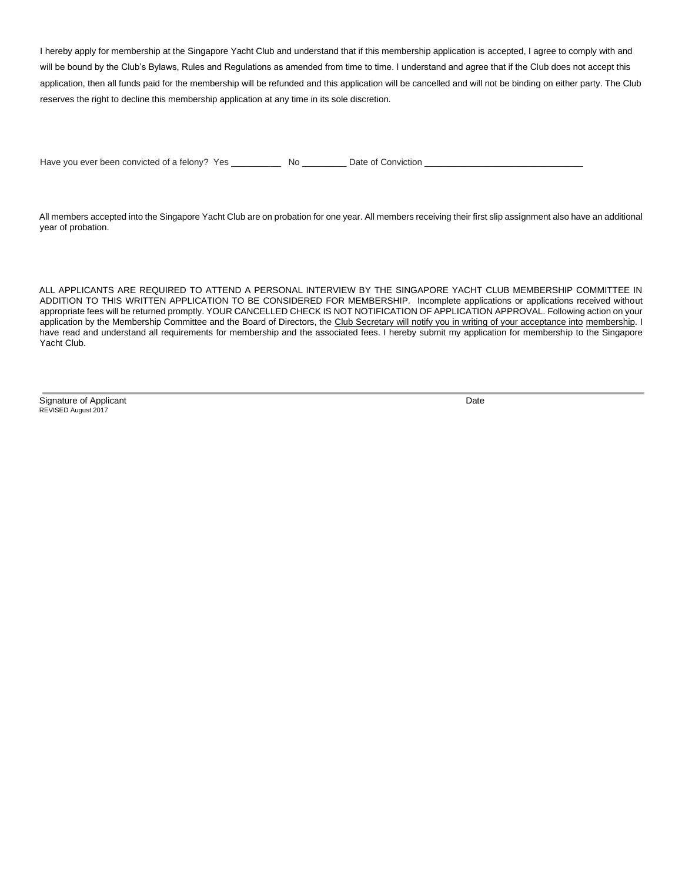I hereby apply for membership at the Singapore Yacht Club and understand that if this membership application is accepted, I agree to comply with and will be bound by the Club's Bylaws, Rules and Regulations as amended from time to time. I understand and agree that if the Club does not accept this application, then all funds paid for the membership will be refunded and this application will be cancelled and will not be binding on either party. The Club reserves the right to decline this membership application at any time in its sole discretion.

Have you ever been convicted of a felony? Yes \_\_\_\_\_\_\_\_\_\_ No \_\_\_\_\_\_\_\_ Date of Conviction

All members accepted into the Singapore Yacht Club are on probation for one year. All members receiving their first slip assignment also have an additional year of probation.

ALL APPLICANTS ARE REQUIRED TO ATTEND A PERSONAL INTERVIEW BY THE SINGAPORE YACHT CLUB MEMBERSHIP COMMITTEE IN ADDITION TO THIS WRITTEN APPLICATION TO BE CONSIDERED FOR MEMBERSHIP. Incomplete applications or applications received without appropriate fees will be returned promptly. YOUR CANCELLED CHECK IS NOT NOTIFICATION OF APPLICATION APPROVAL. Following action on your application by the Membership Committee and the Board of Directors, the Club Secretary will notify you in writing of your acceptance into membership. I have read and understand all requirements for membership and the associated fees. I hereby submit my application for membership to the Singapore Yacht Club.

Signature of Applicant Date REVISED August 2017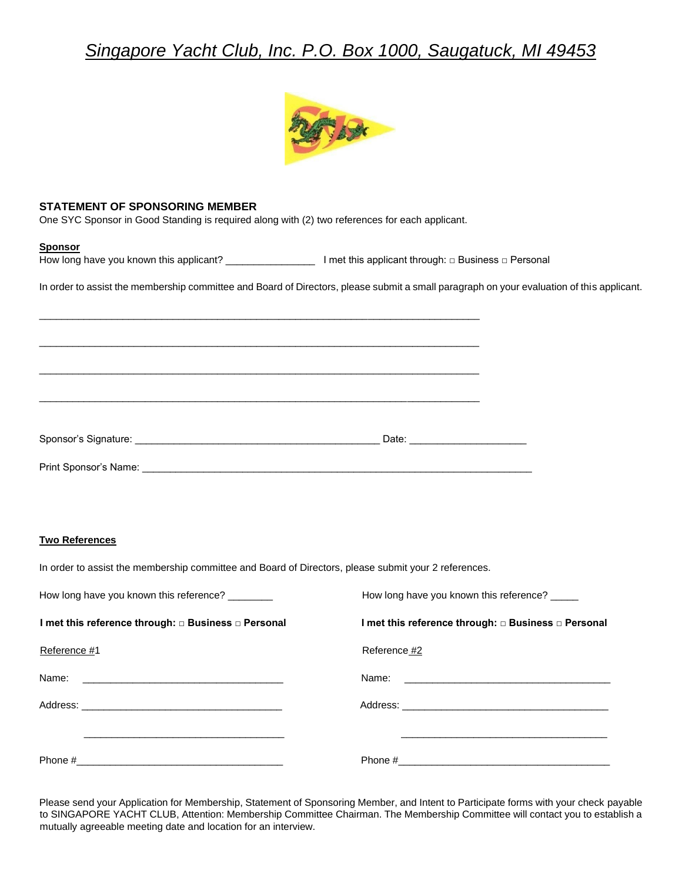# *Singapore Yacht Club, Inc. P.O. Box 1000, Saugatuck, MI 49453*



### **STATEMENT OF SPONSORING MEMBER**

One SYC Sponsor in Good Standing is required along with (2) two references for each applicant.

 $\overline{\phantom{a}}$  ,  $\overline{\phantom{a}}$  ,  $\overline{\phantom{a}}$  ,  $\overline{\phantom{a}}$  ,  $\overline{\phantom{a}}$  ,  $\overline{\phantom{a}}$  ,  $\overline{\phantom{a}}$  ,  $\overline{\phantom{a}}$  ,  $\overline{\phantom{a}}$  ,  $\overline{\phantom{a}}$  ,  $\overline{\phantom{a}}$  ,  $\overline{\phantom{a}}$  ,  $\overline{\phantom{a}}$  ,  $\overline{\phantom{a}}$  ,  $\overline{\phantom{a}}$  ,  $\overline{\phantom{a}}$ 

 $\overline{\phantom{a}}$  ,  $\overline{\phantom{a}}$  ,  $\overline{\phantom{a}}$  ,  $\overline{\phantom{a}}$  ,  $\overline{\phantom{a}}$  ,  $\overline{\phantom{a}}$  ,  $\overline{\phantom{a}}$  ,  $\overline{\phantom{a}}$  ,  $\overline{\phantom{a}}$  ,  $\overline{\phantom{a}}$  ,  $\overline{\phantom{a}}$  ,  $\overline{\phantom{a}}$  ,  $\overline{\phantom{a}}$  ,  $\overline{\phantom{a}}$  ,  $\overline{\phantom{a}}$  ,  $\overline{\phantom{a}}$ 

 $\overline{\phantom{a}}$  ,  $\overline{\phantom{a}}$  ,  $\overline{\phantom{a}}$  ,  $\overline{\phantom{a}}$  ,  $\overline{\phantom{a}}$  ,  $\overline{\phantom{a}}$  ,  $\overline{\phantom{a}}$  ,  $\overline{\phantom{a}}$  ,  $\overline{\phantom{a}}$  ,  $\overline{\phantom{a}}$  ,  $\overline{\phantom{a}}$  ,  $\overline{\phantom{a}}$  ,  $\overline{\phantom{a}}$  ,  $\overline{\phantom{a}}$  ,  $\overline{\phantom{a}}$  ,  $\overline{\phantom{a}}$ 

 $\overline{\phantom{a}}$  , and the contribution of the contribution of the contribution of the contribution of the contribution of the contribution of the contribution of the contribution of the contribution of the contribution of the

Print Sponsor's Name: \_\_\_\_\_\_\_\_\_\_\_\_\_\_\_\_\_\_\_\_\_\_\_\_\_\_\_\_\_\_\_\_\_\_\_\_\_\_\_\_\_\_\_\_\_\_\_\_\_\_\_\_\_\_\_\_\_\_\_\_\_\_\_\_\_\_\_\_\_\_

#### **Sponsor**

How long have you known this applicant? \_\_\_\_\_\_\_\_\_\_\_\_\_\_\_\_ I met this applicant through: □ Business □ Personal

In order to assist the membership committee and Board of Directors, please submit a small paragraph on your evaluation of this applicant.

| Sponsor's Signature: |  |  |
|----------------------|--|--|
|                      |  |  |

### **Two References**

In order to assist the membership committee and Board of Directors, please submit your 2 references.

| How long have you known this reference? ________    | How long have you known this reference? _____                                                                                                                                                                                  |
|-----------------------------------------------------|--------------------------------------------------------------------------------------------------------------------------------------------------------------------------------------------------------------------------------|
| I met this reference through: □ Business □ Personal | I met this reference through: □ Business □ Personal                                                                                                                                                                            |
| Reference #1                                        | Reference #2                                                                                                                                                                                                                   |
|                                                     |                                                                                                                                                                                                                                |
|                                                     | Address: Analysis and the contract of the contract of the contract of the contract of the contract of the contract of the contract of the contract of the contract of the contract of the contract of the contract of the cont |
|                                                     |                                                                                                                                                                                                                                |
|                                                     |                                                                                                                                                                                                                                |

Please send your Application for Membership, Statement of Sponsoring Member, and Intent to Participate forms with your check payable to SINGAPORE YACHT CLUB, Attention: Membership Committee Chairman. The Membership Committee will contact you to establish a mutually agreeable meeting date and location for an interview.